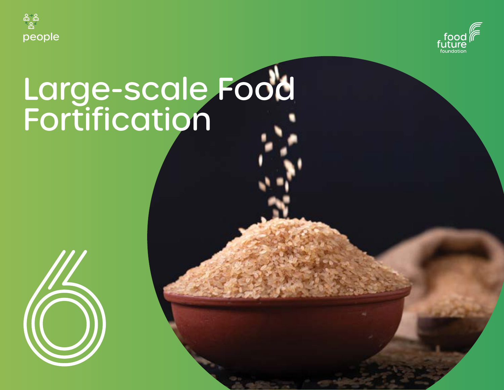



# Large-scale Food Fortification

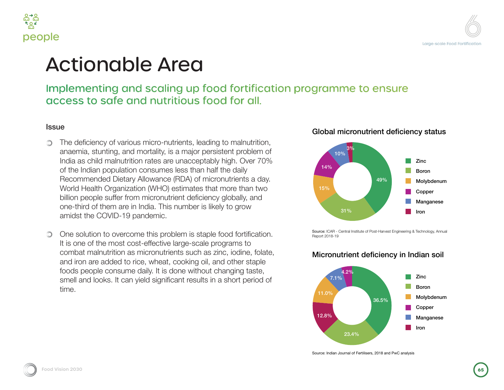



## lionable Area

### menting and scaling up food fortification programme to ensure s to safe and nutritious food for all.

teficiency of various micro-nutrients, leading to malnutrition, mia, stunting, and mortality, is a major persistent problem of as child malnutrition rates are unacceptably high. Over 70% tindian population consumes less than half the daily mmended Dietary Allowance (RDA) of micronutrients a day. Whealth Organization (WHO) estimates that more than two people suffer from micronutrient deficiency globally, and hird of them are in India. This number is likely to grow st the COVID-19 pandemic.

solution to overcome this problem is staple food fortification. ne of the most cost-effective large-scale programs to pat malnutrition as micronutrients such as zinc, iodine, folate, on are added to rice, wheat, cooking oil, and other staple s people consume daily. It is done without changing taste, and looks. It can yield significant results in a short period of

#### Global micronutrient deficiency status



Source: ICAR - Central Institute of Post-Harvest Engineering & Technology, Annual Report 2018-19

#### Micronutrient deficiency in Indian soil



Source: Indian Journal of Fertilisers, 2018 and PwC analysis

**Food Vision 2030 Food Vision 2030651**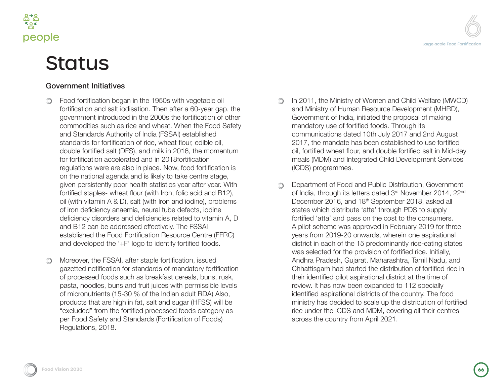



### **Status**

#### Government Initiatives

- Food fortification began in the 1950s with vegetable oil fortification and salt iodisation. Then after a 60-year gap, the government introduced in the 2000s the fortification of other commodities such as rice and wheat. When the Food Safety and Standards Authority of India (FSSAI) established standards for fortification of rice, wheat flour, edible oil, double fortified salt (DFS), and milk in 2016, the momentum for fortification accelerated and in 2018fortification regulations were are also in place. Now, food fortification is on the national agenda and is likely to take centre stage, given persistently poor health statistics year after year. With fortified staples- wheat flour (with Iron, folic acid and B12), oil (with vitamin A & D), salt (with Iron and iodine), problems of iron deficiency anaemia, neural tube defects, iodine deficiency disorders and deficiencies related to vitamin A, D and B12 can be addressed effectively. The FSSAI established the Food Fortification Resource Centre (FFRC) and developed the '+F' logo to identify fortified foods.
- Moreover, the FSSAI, after staple fortification, issued ∩ gazetted notification for standards of mandatory fortification of processed foods such as breakfast cereals, buns, rusk, pasta, noodles, buns and fruit juices with permissible levels of micronutrients (15-30 % of the Indian adult RDA) Also, products that are high in fat, salt and sugar (HFSS) will be "excluded" from the fortified processed foods category as per Food Safety and Standards (Fortification of Foods) Regulations, 2018.
- In 2011, the Ministry of Women and Child Welfare (MWCD) and Ministry of Human Resource Development (MHRD), Government of India, initiated the proposal of making mandatory use of fortified foods. Through its communications dated 10th July 2017 and 2nd August 2017, the mandate has been established to use fortified oil, fortified wheat flour, and double fortified salt in Mid-day meals (MDM) and Integrated Child Development Services (ICDS) programmes.
- Department of Food and Public Distribution, Government  $\bigcirc$ of India, through its letters dated 3rd November 2014, 22<sup>nd</sup> December 2016, and 18<sup>th</sup> September 2018, asked all states which distribute 'atta' through PDS to supply fortified 'atta' and pass on the cost to the consumers. A pilot scheme was approved in February 2019 for three years from 2019-20 onwards, wherein one aspirational district in each of the 15 predominantly rice-eating states was selected for the provision of fortified rice. Initially, Andhra Pradesh, Gujarat, Maharashtra, Tamil Nadu, and Chhattisgarh had started the distribution of fortified rice in their identified pilot aspirational district at the time of review. It has now been expanded to 112 specially identified aspirational districts of the country. The food ministry has decided to scale up the distribution of fortified rice under the ICDS and MDM, covering all their centres across the country from April 2021.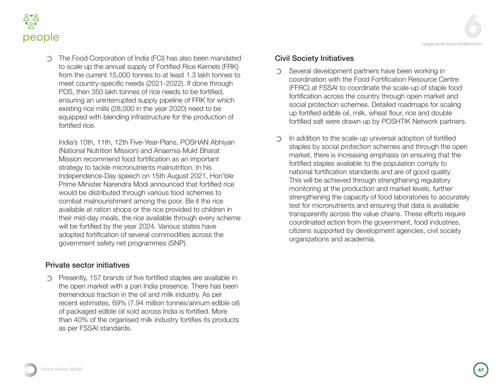

The Food Corporation of India (FCI) has also been mandated to scale up the annual supply of Fortified Rice Kernels (FRK) from the current 15,000 tonnes to at least 1.3 lakh tonnes to meet country-specific needs (2021-2022). If done through PDS, then 350 lakh tonnes of rice needs to be fortified, ensuring an uninterrupted supply pipeline of FRK for which existing rice mills (28,000 in the year 2020) need to be equipped with blending infrastructure for the production of fortified rice.

India's 10th, 11th, 12th Five-Year-Plans, POSHAN Abhiyan (National Nutrition Mission) and Anaemia-Mukt Bharat Mission recommend food fortification as an important strategy to tackle micronutrients malnutrition. In his Independence-Day speech on 15th August 2021, Hon'ble Prime Minister Narendra Modi announced that fortified rice would be distributed through various food schemes to combat malnourishment among the poor. Be it the rice available at ration shops or the rice provided to children in their mid-day meals, the rice available through every scheme will be fortified by the year 2024. Various states have adopted fortification of several commodities across the government safety net programmes (SNP).

#### Private sector initiatives

**Presently, 157 brands of five fortified staples are available in** the open market with a pan India presence. There has been tremendous traction in the oil and milk industry. As per recent estimates, 69% (7.94 million tonnes/annum edible oil) of packaged edible oil sold across India is fortified. More than 40% of the organised milk industry fortifies its products as per FSSAI standards.

#### Civil Society Initiatives

- Several development partners have been working in  $\bigcirc$ coordination with the Food Fortification Resource Centre (FFRC) at FSSAI to coordinate the scale-up of staple food fortification across the country through open market and social protection schemes. Detailed roadmaps for scaling up fortified edible oil, milk, wheat flour, rice and double fortified salt were drawn up by POSHTIK Network partners.
- In addition to the scale-up universal adoption of fortified staples by social protection schemes and through the open market, there is increasing emphasis on ensuring that the fortified staples available to the population comply to national fortification standards and are of good quality. This will be achieved through strengthening regulatory monitoring at the production and market levels, further strengthening the capacity of food laboratories to accurately test for micronutrients and ensuring that data is available transparently across the value chains. These efforts require coordinated action from the government, food industries, citizens supported by development agencies, civil society organizations and academia.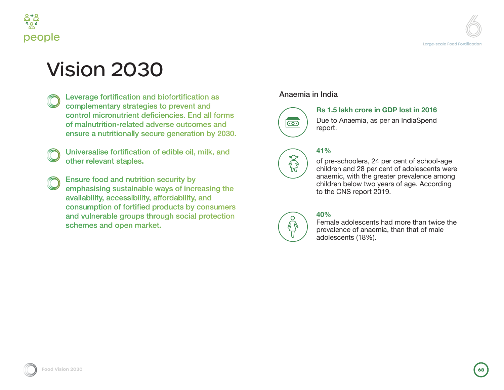



### Vision 2030

- Leverage fortification and biofortification as complementary strategies to prevent and control micronutrient deficiencies. End all forms of malnutrition-related adverse outcomes and ensure a nutritionally secure generation by 2030.
- Universalise fortification of edible oil, milk, and other relevant staples.
- Ensure food and nutrition security by emphasising sustainable ways of increasing the availability, accessibility, affordability, and consumption of fortified products by consumers and vulnerable groups through social protection schemes and open market.

#### Anaemia in India



 $\tilde{\mathbb{Z}}$ 

**Rs 1.5 lakh crore in GDP lost in 2016**

Due to Anaemia, as per an IndiaSpend report.

#### **41%**

of pre-schoolers, 24 per cent of school-age children and 28 per cent of adolescents were anaemic, with the greater prevalence among children below two years of age. According to the CNS report 2019.

#### **40%**

Female adolescents had more than twice the prevalence of anaemia, than that of male adolescents (18%).

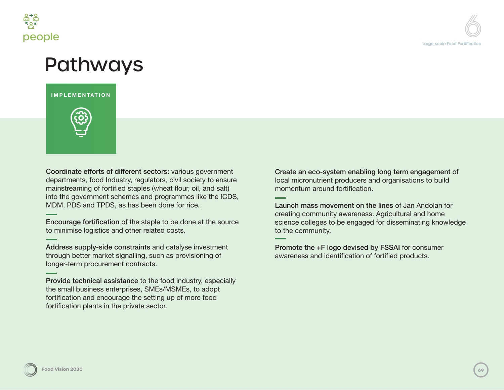

### Pathways

**IMPLEMENTATION**



Coordinate efforts of different sectors: various government departments, food Industry, regulators, civil society to ensure mainstreaming of fortified staples (wheat flour, oil, and salt) into the government schemes and programmes like the ICDS, MDM, PDS and TPDS, as has been done for rice.

Encourage fortification of the staple to be done at the source to minimise logistics and other related costs.

Address supply-side constraints and catalyse investment through better market signalling, such as provisioning of longer-term procurement contracts.

Provide technical assistance to the food industry, especially the small business enterprises, SMEs/MSMEs, to adopt fortification and encourage the setting up of more food fortification plants in the private sector.

Create an eco-system enabling long term engagement of local micronutrient producers and organisations to build momentum around fortification.

Launch mass movement on the lines of Jan Andolan for creating community awareness. Agricultural and home science colleges to be engaged for disseminating knowledge to the community.

Promote the +F logo devised by FSSAI for consumer awareness and identification of fortified products.